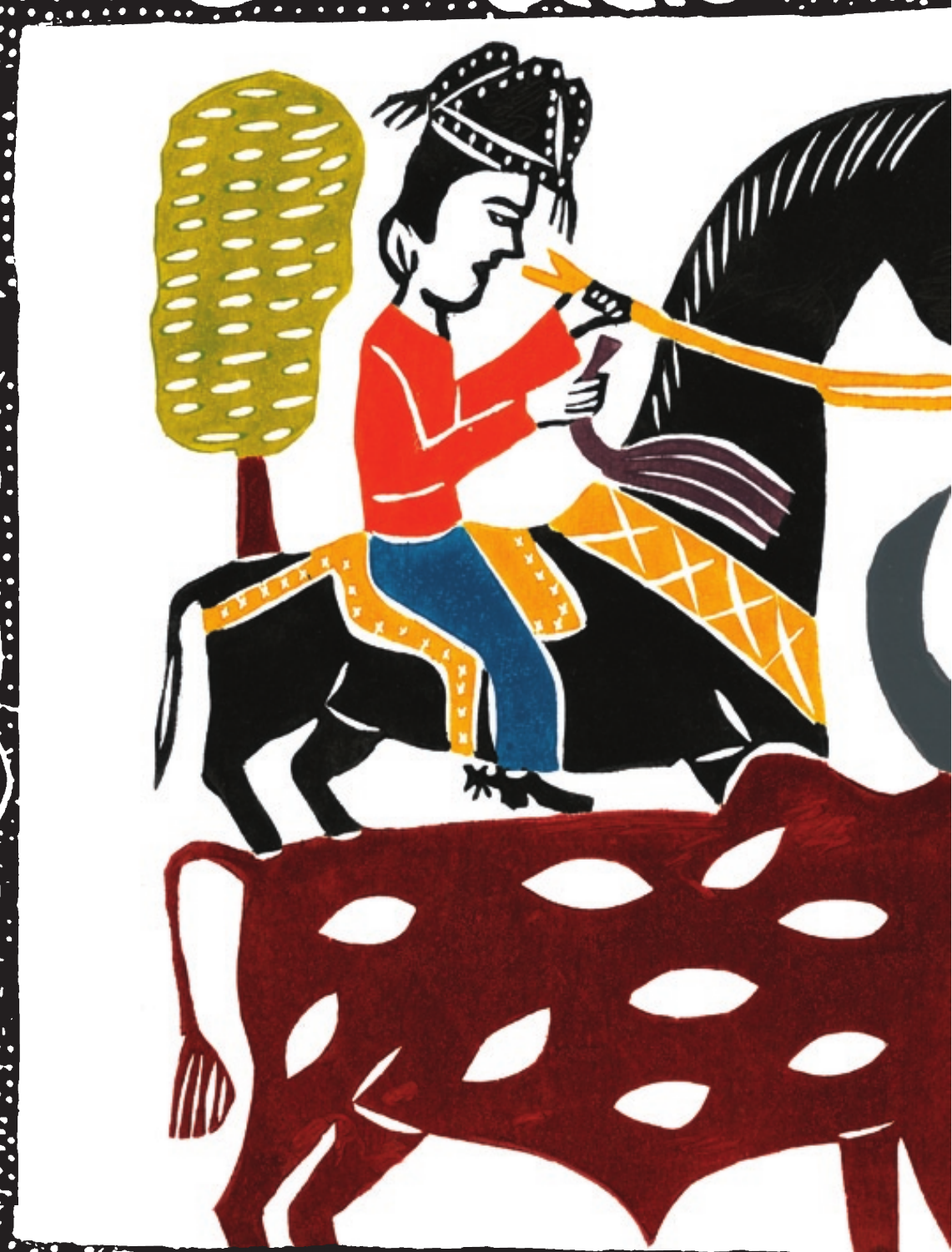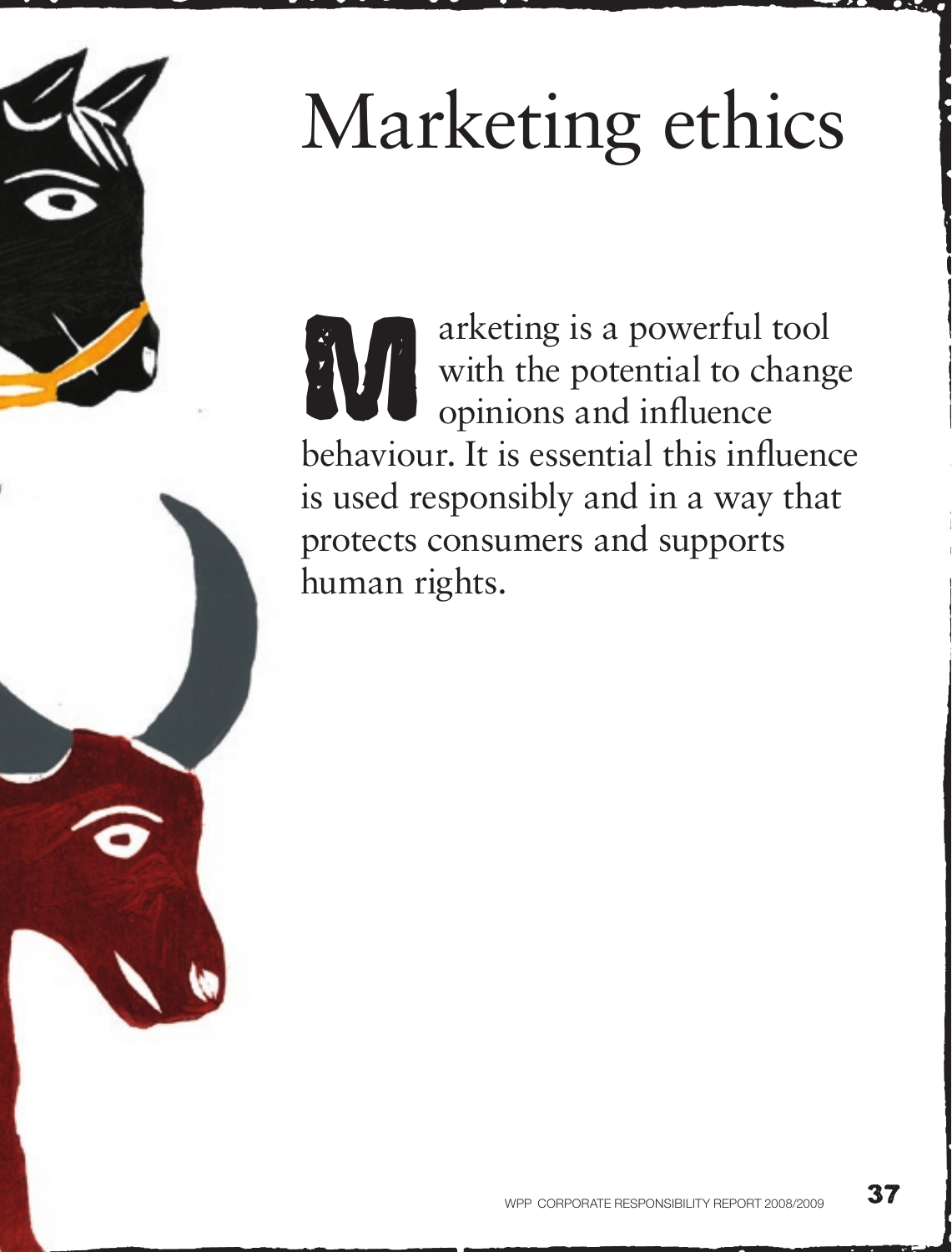# Marketing ethics

arketing is a powerful tool<br>with the potential to chang<br>opinions and influence with the potential to change opinions and influence behaviour. It is essential this influence is used responsibly and in a way that protects consumers and supports human rights.

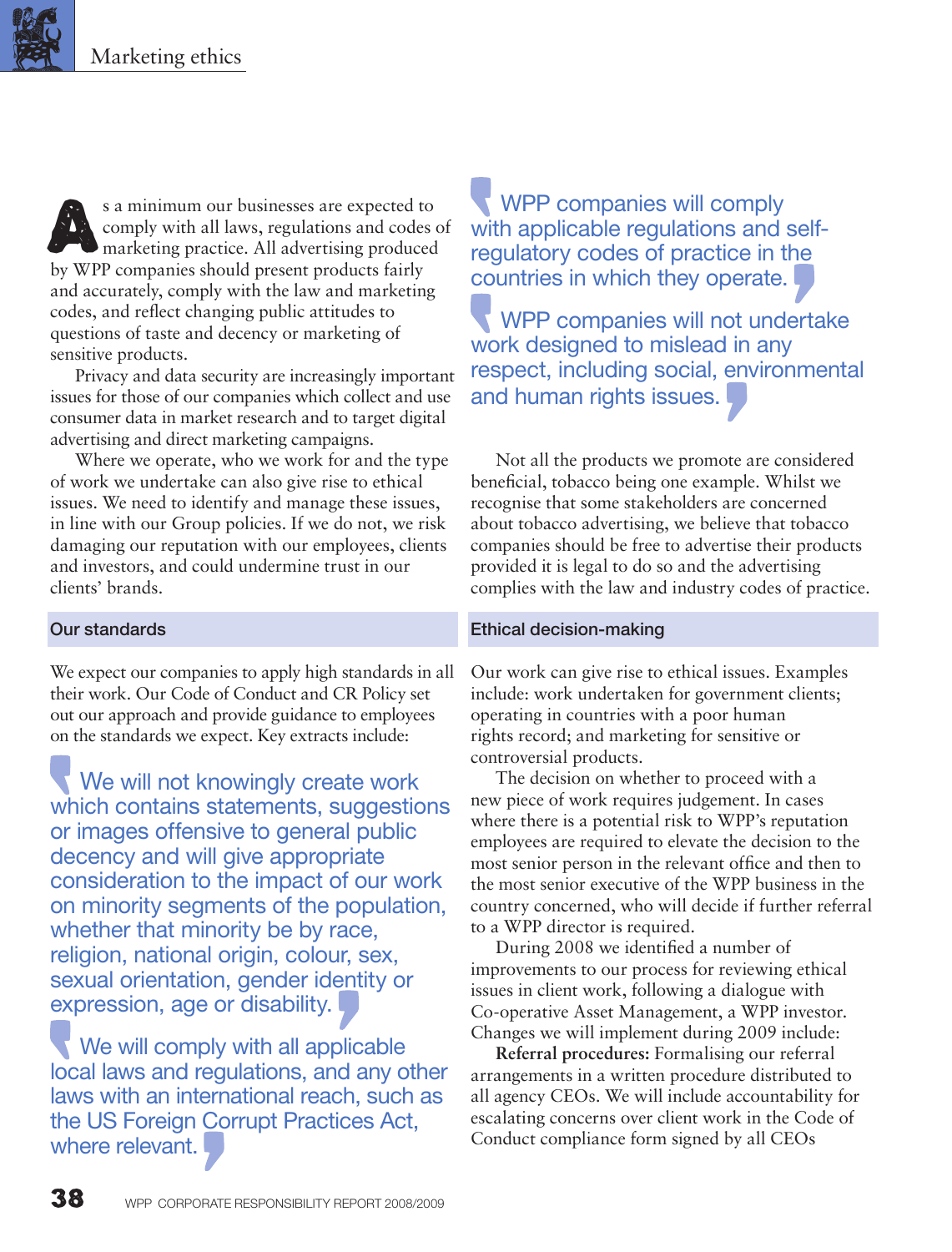s a minimum our businesses are expected to<br>
comply with all laws, regulations and codes of<br>
marketing practice. All advertising produced<br>
hy WPD companies should present are dusts fails comply with all laws, regulations and codes of by WPP companies should present products fairly and accurately, comply with the law and marketing codes, and reflect changing public attitudes to questions of taste and decency or marketing of sensitive products.

Privacy and data security are increasingly important issues for those of our companies which collect and use consumer data in market research and to target digital advertising and direct marketing campaigns.

Where we operate, who we work for and the type of work we undertake can also give rise to ethical issues. We need to identify and manage these issues, in line with our Group policies. If we do not, we risk damaging our reputation with our employees, clients and investors, and could undermine trust in our clients' brands.

#### Our standards

We expect our companies to apply high standards in all their work. Our Code of Conduct and CR Policy set out our approach and provide guidance to employees on the standards we expect. Key extracts include:

We will not knowingly create work which contains statements, suggestions or images offensive to general public decency and will give appropriate consideration to the impact of our work on minority segments of the population, whether that minority be by race, religion, national origin, colour, sex, sexual orientation, gender identity or expression, age or disability.

We will comply with all applicable local laws and regulations, and any other laws with an international reach, such as the US Foreign Corrupt Practices Act, where relevant.

WPP companies will comply with applicable regulations and selfregulatory codes of practice in the countries in which they operate.

WPP companies will not undertake work designed to mislead in any respect, including social, environmental and human rights issues.

Not all the products we promote are considered beneficial, tobacco being one example. Whilst we recognise that some stakeholders are concerned about tobacco advertising, we believe that tobacco companies should be free to advertise their products provided it is legal to do so and the advertising complies with the law and industry codes of practice.

#### Ethical decision-making

Our work can give rise to ethical issues. Examples include: work undertaken for government clients; operating in countries with a poor human rights record; and marketing for sensitive or controversial products.

The decision on whether to proceed with a new piece of work requires judgement. In cases where there is a potential risk to WPP's reputation employees are required to elevate the decision to the most senior person in the relevant office and then to the most senior executive of the WPP business in the country concerned, who will decide if further referral to a WPP director is required.

During 2008 we identified a number of improvements to our process for reviewing ethical issues in client work, following a dialogue with Co-operative Asset Management, a WPP investor. Changes we will implement during 2009 include:

**Referral procedures:** Formalising our referral arrangements in a written procedure distributed to all agency CEOs. We will include accountability for escalating concerns over client work in the Code of Conduct compliance form signed by all CEOs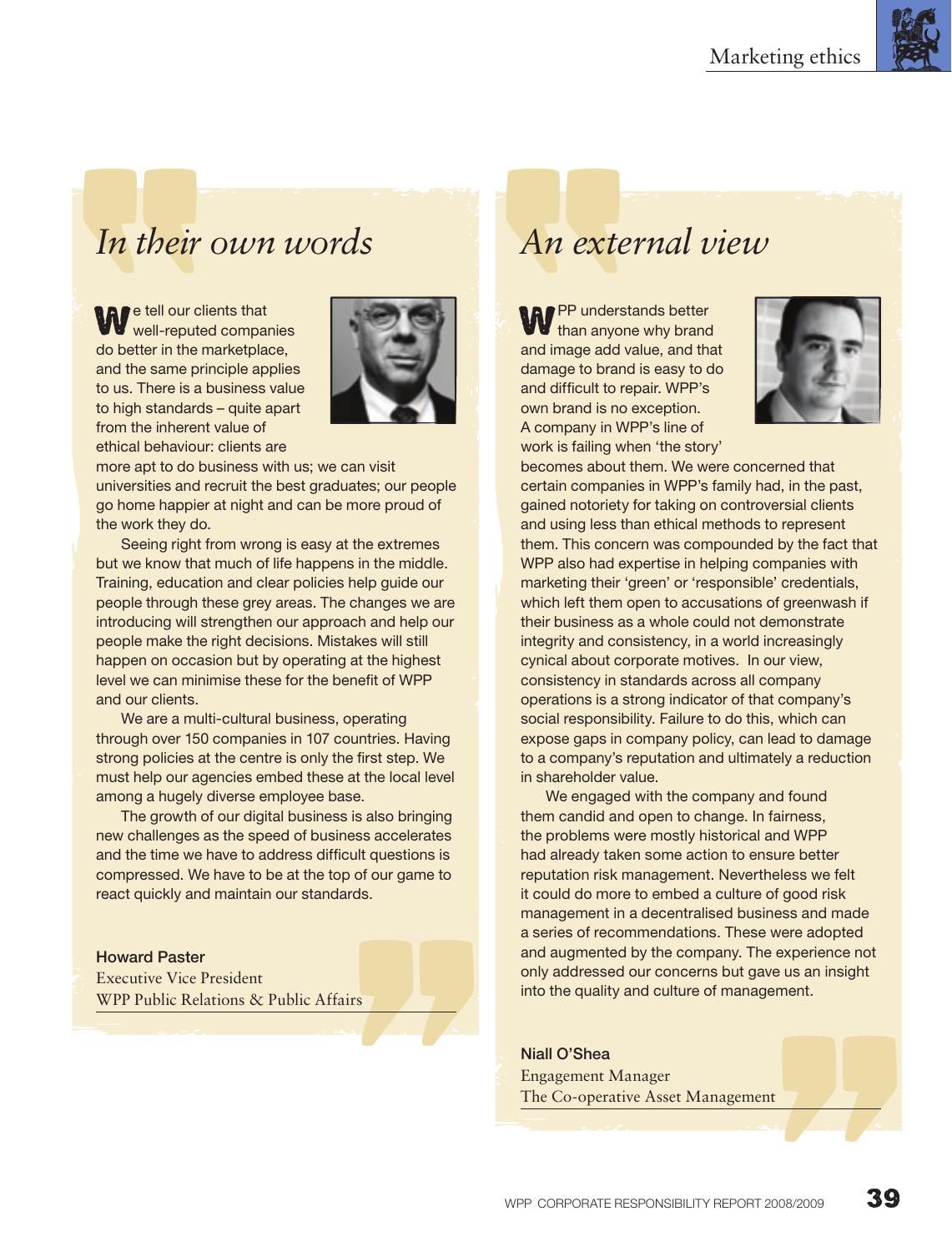

## *In their own words*

**P** e tell our clients that well-reputed companies do better in the marketplace, and the same principle applies to us. There is a business value to high standards – quite apart from the inherent value of ethical behaviour: clients are



more apt to do business with us; we can visit universities and recruit the best graduates; our people go home happier at night and can be more proud of the work they do.

Seeing right from wrong is easy at the extremes but we know that much of life happens in the middle. Training, education and clear policies help guide our people through these grey areas. The changes we are introducing will strengthen our approach and help our people make the right decisions. Mistakes will still happen on occasion but by operating at the highest level we can minimise these for the benefit of WPP and our clients.

We are a multi-cultural business, operating through over 150 companies in 107 countries. Having strong policies at the centre is only the first step. We must help our agencies embed these at the local level among a hugely diverse employee base.

The growth of our digital business is also bringing new challenges as the speed of business accelerates and the time we have to address difficult questions is compressed. We have to be at the top of our game to react quickly and maintain our standards.

Howard Paster

Executive Vice President WPP Public Relations & Public Affairs

## *An external view*

PP understands better than anyone why brand and image add value, and that damage to brand is easy to do and difficult to repair. WPP's own brand is no exception. A company in WPP's line of work is failing when 'the story'



becomes about them. We were concerned that certain companies in WPP's family had, in the past, gained notoriety for taking on controversial clients and using less than ethical methods to represent them. This concern was compounded by the fact that WPP also had expertise in helping companies with marketing their 'green' or 'responsible' credentials, which left them open to accusations of greenwash if their business as a whole could not demonstrate integrity and consistency, in a world increasingly cynical about corporate motives. In our view, consistency in standards across all company operations is a strong indicator of that company's social responsibility. Failure to do this, which can expose gaps in company policy, can lead to damage to a company's reputation and ultimately a reduction in shareholder value.

We engaged with the company and found them candid and open to change. In fairness, the problems were mostly historical and WPP had already taken some action to ensure better reputation risk management. Nevertheless we felt it could do more to embed a culture of good risk management in a decentralised business and made a series of recommendations. These were adopted and augmented by the company. The experience not only addressed our concerns but gave us an insight into the quality and culture of management.

Niall O'Shea Engagement Manager The Co-operative Asset Management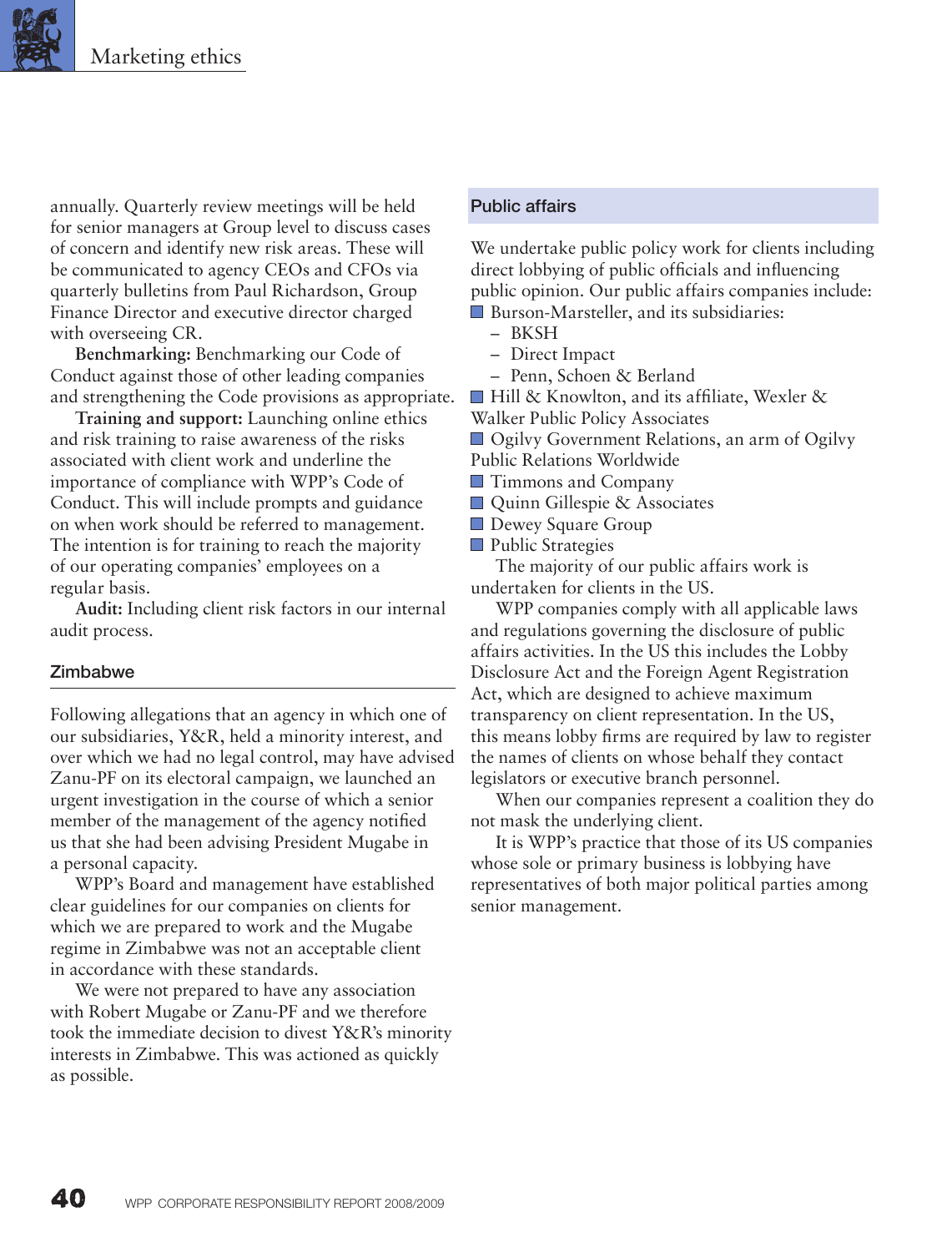annually. Quarterly review meetings will be held for senior managers at Group level to discuss cases of concern and identify new risk areas. These will be communicated to agency CEOs and CFOs via quarterly bulletins from Paul Richardson, Group Finance Director and executive director charged with overseeing CR.

**Benchmarking:** Benchmarking our Code of Conduct against those of other leading companies and strengthening the Code provisions as appropriate.

**Training and support:** Launching online ethics and risk training to raise awareness of the risks associated with client work and underline the importance of compliance with WPP's Code of Conduct. This will include prompts and guidance on when work should be referred to management. The intention is for training to reach the majority of our operating companies' employees on a regular basis.

**Audit:** Including client risk factors in our internal audit process.

#### **Zimbabwe**

Following allegations that an agency in which one of our subsidiaries, Y&R, held a minority interest, and over which we had no legal control, may have advised Zanu-PF on its electoral campaign, we launched an urgent investigation in the course of which a senior member of the management of the agency notified us that she had been advising President Mugabe in a personal capacity.

WPP's Board and management have established clear guidelines for our companies on clients for which we are prepared to work and the Mugabe regime in Zimbabwe was not an acceptable client in accordance with these standards.

We were not prepared to have any association with Robert Mugabe or Zanu-PF and we therefore took the immediate decision to divest Y&R's minority interests in Zimbabwe. This was actioned as quickly as possible.

#### Public affairs

We undertake public policy work for clients including direct lobbying of public officials and influencing public opinion. Our public affairs companies include: Burson-Marsteller, and its subsidiaries:

- BKSH
- Direct Impact
- Penn, Schoen & Berland

Hill & Knowlton, and its affiliate, Wexler &

Walker Public Policy Associates

■ Ogilvy Government Relations, an arm of Ogilvy

Public Relations Worldwide

**T** Timmons and Company

Quinn Gillespie & Associates

**Dewey Square Group** 

**Public Strategies** 

The majority of our public affairs work is undertaken for clients in the US.

WPP companies comply with all applicable laws and regulations governing the disclosure of public affairs activities. In the US this includes the Lobby Disclosure Act and the Foreign Agent Registration Act, which are designed to achieve maximum transparency on client representation. In the US, this means lobby firms are required by law to register the names of clients on whose behalf they contact legislators or executive branch personnel.

When our companies represent a coalition they do not mask the underlying client.

It is WPP's practice that those of its US companies whose sole or primary business is lobbying have representatives of both major political parties among senior management.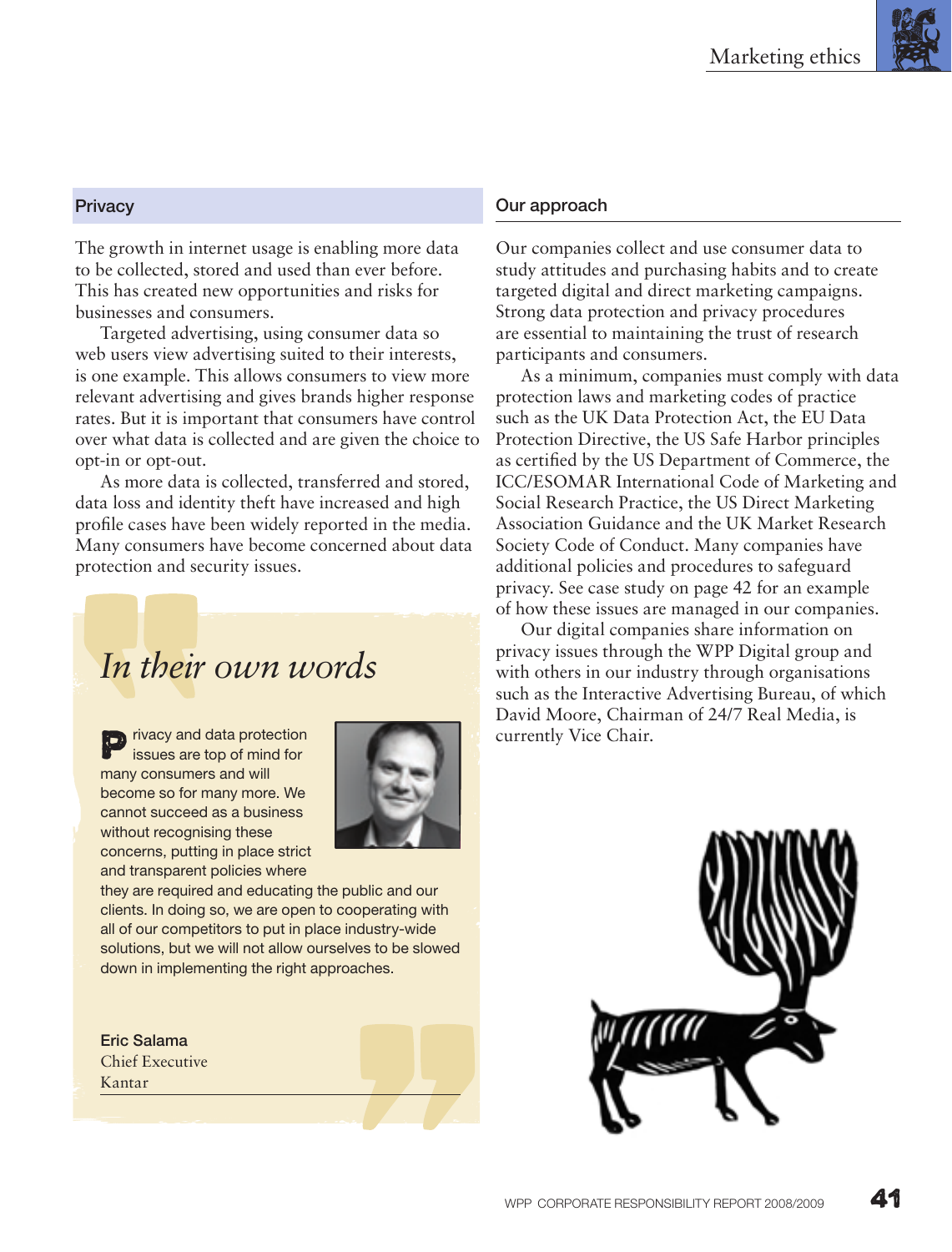

#### **Privacy**

The growth in internet usage is enabling more data to be collected, stored and used than ever before. This has created new opportunities and risks for businesses and consumers.

Targeted advertising, using consumer data so web users view advertising suited to their interests, is one example. This allows consumers to view more relevant advertising and gives brands higher response rates. But it is important that consumers have control over what data is collected and are given the choice to opt-in or opt-out.

As more data is collected, transferred and stored, data loss and identity theft have increased and high profile cases have been widely reported in the media. Many consumers have become concerned about data protection and security issues.

## *In their own words*

rivacy and data protection issues are top of mind for many consumers and will become so for many more. We cannot succeed as a business without recognising these concerns, putting in place strict and transparent policies where



they are required and educating the public and our clients. In doing so, we are open to cooperating with all of our competitors to put in place industry-wide solutions, but we will not allow ourselves to be slowed down in implementing the right approaches.

Eric Salama Chief Executive Kantar

#### Our approach

Our companies collect and use consumer data to study attitudes and purchasing habits and to create targeted digital and direct marketing campaigns. Strong data protection and privacy procedures are essential to maintaining the trust of research participants and consumers.

As a minimum, companies must comply with data protection laws and marketing codes of practice such as the UK Data Protection Act, the EU Data Protection Directive, the US Safe Harbor principles as certified by the US Department of Commerce, the ICC/ESOMAR International Code of Marketing and Social Research Practice, the US Direct Marketing Association Guidance and the UK Market Research Society Code of Conduct. Many companies have additional policies and procedures to safeguard privacy. See case study on page 42 for an example of how these issues are managed in our companies.

Our digital companies share information on privacy issues through the WPP Digital group and with others in our industry through organisations such as the Interactive Advertising Bureau, of which David Moore, Chairman of 24/7 Real Media, is currently Vice Chair.

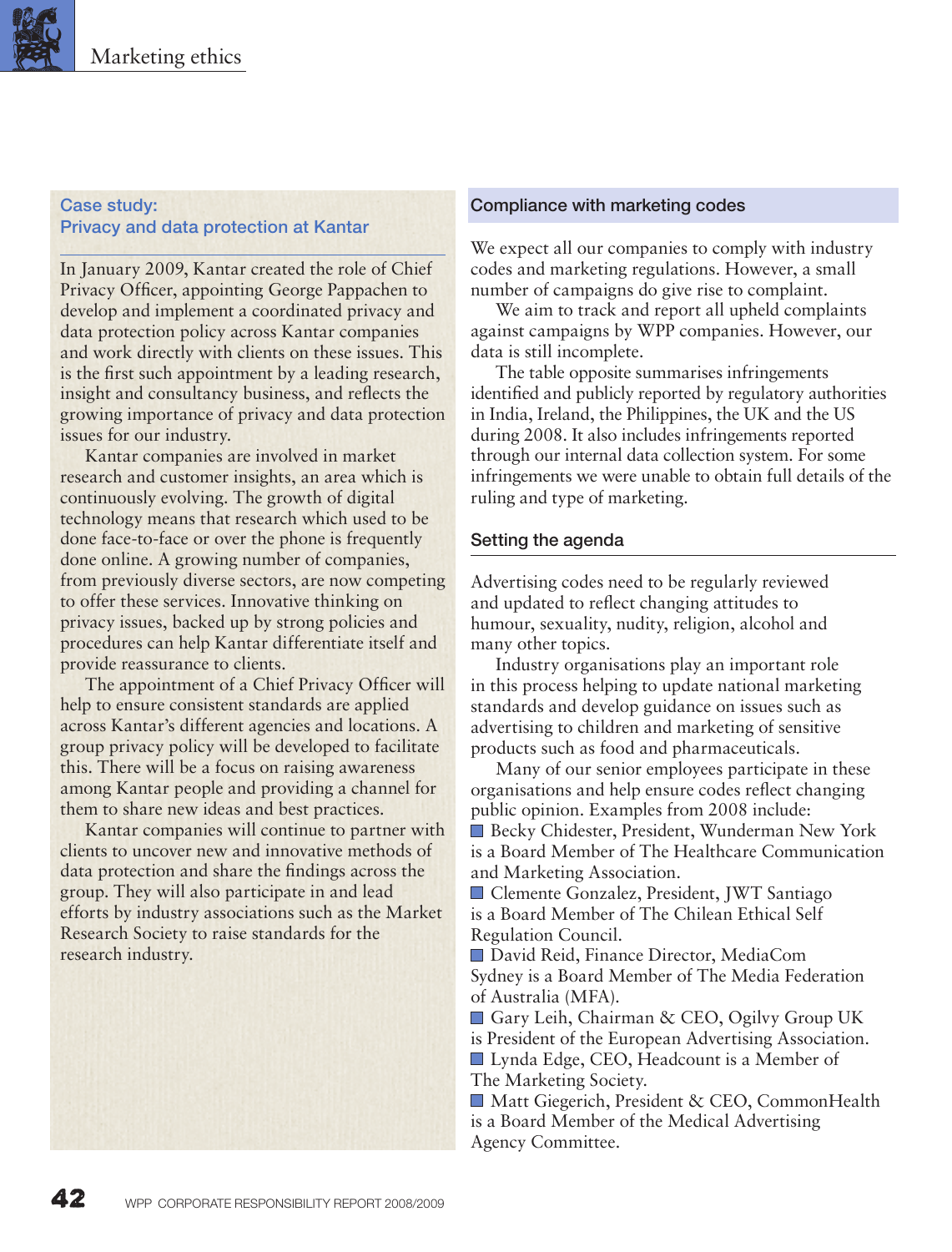#### Case study: Privacy and data protection at Kantar

In January 2009, Kantar created the role of Chief Privacy Officer, appointing George Pappachen to develop and implement a coordinated privacy and data protection policy across Kantar companies and work directly with clients on these issues. This is the first such appointment by a leading research, insight and consultancy business, and reflects the growing importance of privacy and data protection issues for our industry.

Kantar companies are involved in market research and customer insights, an area which is continuously evolving. The growth of digital technology means that research which used to be done face-to-face or over the phone is frequently done online. A growing number of companies, from previously diverse sectors, are now competing to offer these services. Innovative thinking on privacy issues, backed up by strong policies and procedures can help Kantar differentiate itself and provide reassurance to clients.

The appointment of a Chief Privacy Officer will help to ensure consistent standards are applied across Kantar's different agencies and locations. A group privacy policy will be developed to facilitate this. There will be a focus on raising awareness among Kantar people and providing a channel for them to share new ideas and best practices.

Kantar companies will continue to partner with clients to uncover new and innovative methods of data protection and share the findings across the group. They will also participate in and lead efforts by industry associations such as the Market Research Society to raise standards for the research industry.

#### Compliance with marketing codes

We expect all our companies to comply with industry codes and marketing regulations. However, a small number of campaigns do give rise to complaint.

We aim to track and report all upheld complaints against campaigns by WPP companies. However, our data is still incomplete.

The table opposite summarises infringements identified and publicly reported by regulatory authorities in India, Ireland, the Philippines, the UK and the US during 2008. It also includes infringements reported through our internal data collection system. For some infringements we were unable to obtain full details of the ruling and type of marketing.

### Setting the agenda

Advertising codes need to be regularly reviewed and updated to reflect changing attitudes to humour, sexuality, nudity, religion, alcohol and many other topics.

Industry organisations play an important role in this process helping to update national marketing standards and develop guidance on issues such as advertising to children and marketing of sensitive products such as food and pharmaceuticals.

Many of our senior employees participate in these organisations and help ensure codes reflect changing public opinion. Examples from 2008 include: ■ Becky Chidester, President, Wunderman New York is a Board Member of The Healthcare Communication and Marketing Association.

■ Clemente Gonzalez, President, JWT Santiago is a Board Member of The Chilean Ethical Self Regulation Council.

■ David Reid, Finance Director, MediaCom Sydney is a Board Member of The Media Federation of Australia (MFA).

Gary Leih, Chairman & CEO, Ogilvy Group UK is President of the European Advertising Association. ■ Lynda Edge, CEO, Headcount is a Member of The Marketing Society.

■ Matt Giegerich, President & CEO, CommonHealth is a Board Member of the Medical Advertising Agency Committee.